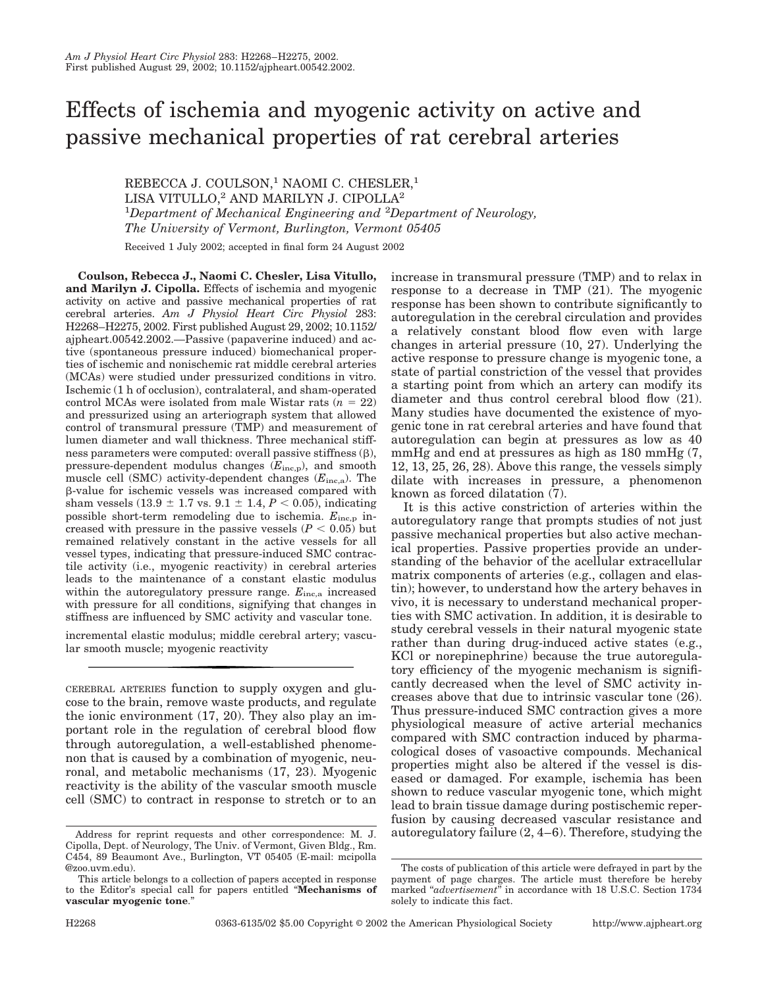# Effects of ischemia and myogenic activity on active and passive mechanical properties of rat cerebral arteries

REBECCA J. COULSON,<sup>1</sup> NAOMI C. CHESLER,<sup>1</sup> LISA VITULLO,<sup>2</sup> AND MARILYN J. CIPOLLA<sup>2</sup> <sup>1</sup>Department of Mechanical Engineering and <sup>2</sup>Department of Neurology, *The University of Vermont, Burlington, Vermont 05405*

Received 1 July 2002; accepted in final form 24 August 2002

**Coulson, Rebecca J., Naomi C. Chesler, Lisa Vitullo, and Marilyn J. Cipolla.** Effects of ischemia and myogenic activity on active and passive mechanical properties of rat cerebral arteries. *Am J Physiol Heart Circ Physiol* 283: H2268–H2275, 2002. First published August 29, 2002; 10.1152/ ajpheart.00542.2002.—Passive (papaverine induced) and active (spontaneous pressure induced) biomechanical properties of ischemic and nonischemic rat middle cerebral arteries (MCAs) were studied under pressurized conditions in vitro. Ischemic (1 h of occlusion), contralateral, and sham-operated control MCAs were isolated from male Wistar rats  $(n = 22)$ and pressurized using an arteriograph system that allowed control of transmural pressure (TMP) and measurement of lumen diameter and wall thickness. Three mechanical stiffness parameters were computed: overall passive stiffness  $(\beta)$ , pressure-dependent modulus changes (*E*inc,p), and smooth muscle cell (SMC) activity-dependent changes (*E*inc,a). The --value for ischemic vessels was increased compared with sham vessels  $(13.9 \pm 1.7 \text{ vs. } 9.1 \pm 1.4, P < 0.05)$ , indicating possible short-term remodeling due to ischemia.  $E_{\text{inc,p}}$  increased with pressure in the passive vessels  $(P < 0.05)$  but remained relatively constant in the active vessels for all vessel types, indicating that pressure-induced SMC contractile activity (i.e., myogenic reactivity) in cerebral arteries leads to the maintenance of a constant elastic modulus within the autoregulatory pressure range.  $E_{\text{inc,a}}$  increased with pressure for all conditions, signifying that changes in stiffness are influenced by SMC activity and vascular tone.

incremental elastic modulus; middle cerebral artery; vascular smooth muscle; myogenic reactivity

CEREBRAL ARTERIES function to supply oxygen and glucose to the brain, remove waste products, and regulate the ionic environment (17, 20). They also play an important role in the regulation of cerebral blood flow through autoregulation, a well-established phenomenon that is caused by a combination of myogenic, neuronal, and metabolic mechanisms (17, 23). Myogenic reactivity is the ability of the vascular smooth muscle cell (SMC) to contract in response to stretch or to an increase in transmural pressure (TMP) and to relax in response to a decrease in TMP (21). The myogenic response has been shown to contribute significantly to autoregulation in the cerebral circulation and provides a relatively constant blood flow even with large changes in arterial pressure (10, 27). Underlying the active response to pressure change is myogenic tone, a state of partial constriction of the vessel that provides a starting point from which an artery can modify its diameter and thus control cerebral blood flow (21). Many studies have documented the existence of myogenic tone in rat cerebral arteries and have found that autoregulation can begin at pressures as low as 40 mmHg and end at pressures as high as 180 mmHg  $(7, 7)$ 12, 13, 25, 26, 28). Above this range, the vessels simply dilate with increases in pressure, a phenomenon known as forced dilatation (7).

It is this active constriction of arteries within the autoregulatory range that prompts studies of not just passive mechanical properties but also active mechanical properties. Passive properties provide an understanding of the behavior of the acellular extracellular matrix components of arteries (e.g., collagen and elastin); however, to understand how the artery behaves in vivo, it is necessary to understand mechanical properties with SMC activation. In addition, it is desirable to study cerebral vessels in their natural myogenic state rather than during drug-induced active states (e.g., KCl or norepinephrine) because the true autoregulatory efficiency of the myogenic mechanism is significantly decreased when the level of SMC activity increases above that due to intrinsic vascular tone (26). Thus pressure-induced SMC contraction gives a more physiological measure of active arterial mechanics compared with SMC contraction induced by pharmacological doses of vasoactive compounds. Mechanical properties might also be altered if the vessel is diseased or damaged. For example, ischemia has been shown to reduce vascular myogenic tone, which might lead to brain tissue damage during postischemic reperfusion by causing decreased vascular resistance and Address for reprint requests and other correspondence: M. J. autoregulatory failure (2, 4–6). Therefore, studying the

Cipolla, Dept. of Neurology, The Univ. of Vermont, Given Bldg., Rm. C454, 89 Beaumont Ave., Burlington, VT 05405 (E-mail: mcipolla @zoo.uvm.edu).

This article belongs to a collection of papers accepted in response to the Editor's special call for papers entitled "**Mechanisms of vascular myogenic tone**."

The costs of publication of this article were defrayed in part by the payment of page charges. The article must therefore be hereby marked "advertisement" in accordance with 18 U.S.C. Section 1734 solely to indicate this fact.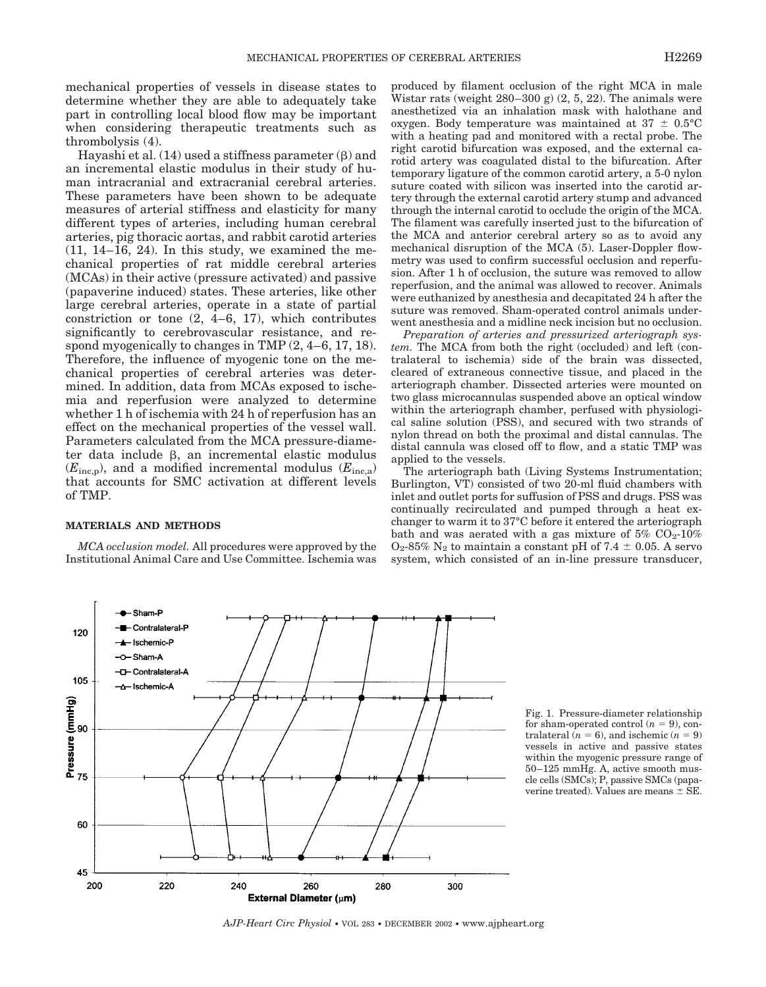mechanical properties of vessels in disease states to determine whether they are able to adequately take part in controlling local blood flow may be important when considering therapeutic treatments such as thrombolysis (4).

Hayashi et al.  $(14)$  used a stiffness parameter  $(\beta)$  and an incremental elastic modulus in their study of human intracranial and extracranial cerebral arteries. These parameters have been shown to be adequate measures of arterial stiffness and elasticity for many different types of arteries, including human cerebral arteries, pig thoracic aortas, and rabbit carotid arteries  $(11, 14-16, 24)$ . In this study, we examined the mechanical properties of rat middle cerebral arteries (MCAs) in their active (pressure activated) and passive (papaverine induced) states. These arteries, like other large cerebral arteries, operate in a state of partial constriction or tone  $(2, 4-6, 17)$ , which contributes significantly to cerebrovascular resistance, and respond myogenically to changes in TMP (2, 4–6, 17, 18). Therefore, the influence of myogenic tone on the mechanical properties of cerebral arteries was determined. In addition, data from MCAs exposed to ischemia and reperfusion were analyzed to determine whether 1 h of ischemia with 24 h of reperfusion has an effect on the mechanical properties of the vessel wall. Parameters calculated from the MCA pressure-diameter data include  $\beta$ , an incremental elastic modulus  $(E_{\text{inc,p}})$ , and a modified incremental modulus  $(E_{\text{inc,a}})$ that accounts for SMC activation at different levels of TMP.

## **MATERIALS AND METHODS**

*MCA occlusion model.* All procedures were approved by the Institutional Animal Care and Use Committee. Ischemia was produced by filament occlusion of the right MCA in male Wistar rats (weight  $280-300$  g)  $(2, 5, 22)$ . The animals were anesthetized via an inhalation mask with halothane and oxygen. Body temperature was maintained at  $37 \pm 0.5^{\circ}$ C with a heating pad and monitored with a rectal probe. The right carotid bifurcation was exposed, and the external carotid artery was coagulated distal to the bifurcation. After temporary ligature of the common carotid artery, a 5-0 nylon suture coated with silicon was inserted into the carotid artery through the external carotid artery stump and advanced through the internal carotid to occlude the origin of the MCA. The filament was carefully inserted just to the bifurcation of the MCA and anterior cerebral artery so as to avoid any mechanical disruption of the MCA (5). Laser-Doppler flowmetry was used to confirm successful occlusion and reperfusion. After 1 h of occlusion, the suture was removed to allow reperfusion, and the animal was allowed to recover. Animals were euthanized by anesthesia and decapitated 24 h after the suture was removed. Sham-operated control animals underwent anesthesia and a midline neck incision but no occlusion.

*Preparation of arteries and pressurized arteriograph system.* The MCA from both the right (occluded) and left (contralateral to ischemia) side of the brain was dissected, cleared of extraneous connective tissue, and placed in the arteriograph chamber. Dissected arteries were mounted on two glass microcannulas suspended above an optical window within the arteriograph chamber, perfused with physiological saline solution (PSS), and secured with two strands of nylon thread on both the proximal and distal cannulas. The distal cannula was closed off to flow, and a static TMP was applied to the vessels.

The arteriograph bath (Living Systems Instrumentation; Burlington, VT) consisted of two 20-ml fluid chambers with inlet and outlet ports for suffusion of PSS and drugs. PSS was continually recirculated and pumped through a heat exchanger to warm it to 37°C before it entered the arteriograph bath and was aerated with a gas mixture of  $5\%$  CO<sub>2</sub>-10%  $O_2$ -85% N<sub>2</sub> to maintain a constant pH of 7.4  $\pm$  0.05. A servo system, which consisted of an in-line pressure transducer,

Fig. 1. Pressure-diameter relationship for sham-operated control  $(n = 9)$ , contralateral  $(n = 6)$ , and ischemic  $(n = 9)$ vessels in active and passive states within the myogenic pressure range of 50–125 mmHg. A, active smooth muscle cells (SMCs); P, passive SMCs (papaverine treated). Values are means  $\pm$  SE.

*AJP-Heart Circ Physiol* • VOL 283 • DECEMBER 2002 • www.ajpheart.org

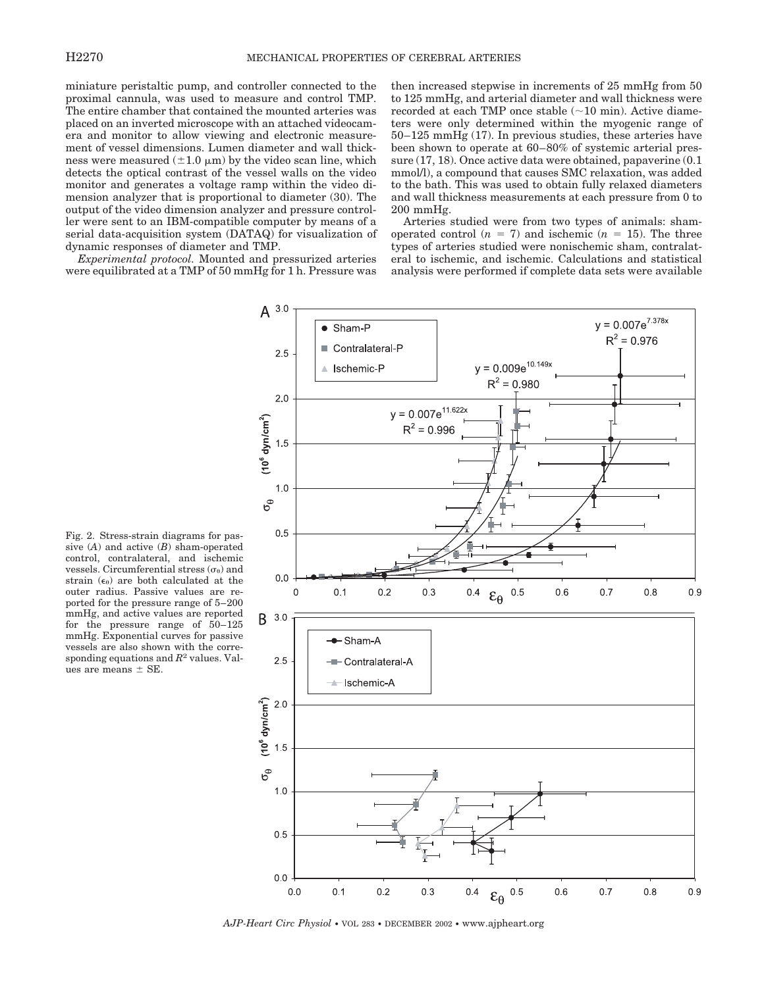miniature peristaltic pump, and controller connected to the proximal cannula, was used to measure and control TMP. The entire chamber that contained the mounted arteries was placed on an inverted microscope with an attached videocamera and monitor to allow viewing and electronic measurement of vessel dimensions. Lumen diameter and wall thickness were measured  $(\pm 1.0 \mu m)$  by the video scan line, which detects the optical contrast of the vessel walls on the video monitor and generates a voltage ramp within the video dimension analyzer that is proportional to diameter (30). The output of the video dimension analyzer and pressure controller were sent to an IBM-compatible computer by means of a serial data-acquisition system (DATAQ) for visualization of dynamic responses of diameter and TMP.

*Experimental protocol.* Mounted and pressurized arteries were equilibrated at a TMP of 50 mmHg for 1 h. Pressure was then increased stepwise in increments of 25 mmHg from 50 to 125 mmHg, and arterial diameter and wall thickness were recorded at each TMP once stable  $(\sim 10 \text{ min})$ . Active diameters were only determined within the myogenic range of 50–125 mmHg (17). In previous studies, these arteries have been shown to operate at 60–80% of systemic arterial pressure (17, 18). Once active data were obtained, papaverine (0.1 mmol/l), a compound that causes SMC relaxation, was added to the bath. This was used to obtain fully relaxed diameters and wall thickness measurements at each pressure from 0 to 200 mmHg.

Arteries studied were from two types of animals: shamoperated control  $(n = 7)$  and ischemic  $(n = 15)$ . The three types of arteries studied were nonischemic sham, contralateral to ischemic, and ischemic. Calculations and statistical analysis were performed if complete data sets were available



Fig. 2. Stress-strain diagrams for passive (*A*) and active (*B*) sham-operated control, contralateral, and ischemic vessels. Circumferential stress  $(\sigma_{\theta})$  and strain  $(\epsilon_{\theta})$  are both calculated at the outer radius. Passive values are reported for the pressure range of 5–200 mmHg, and active values are reported for the pressure range of 50–125 mmHg. Exponential curves for passive vessels are also shown with the corresponding equations and *R*<sup>2</sup> values. Values are means  $\pm$  SE.

*AJP-Heart Circ Physiol* • VOL 283 • DECEMBER 2002 • www.ajpheart.org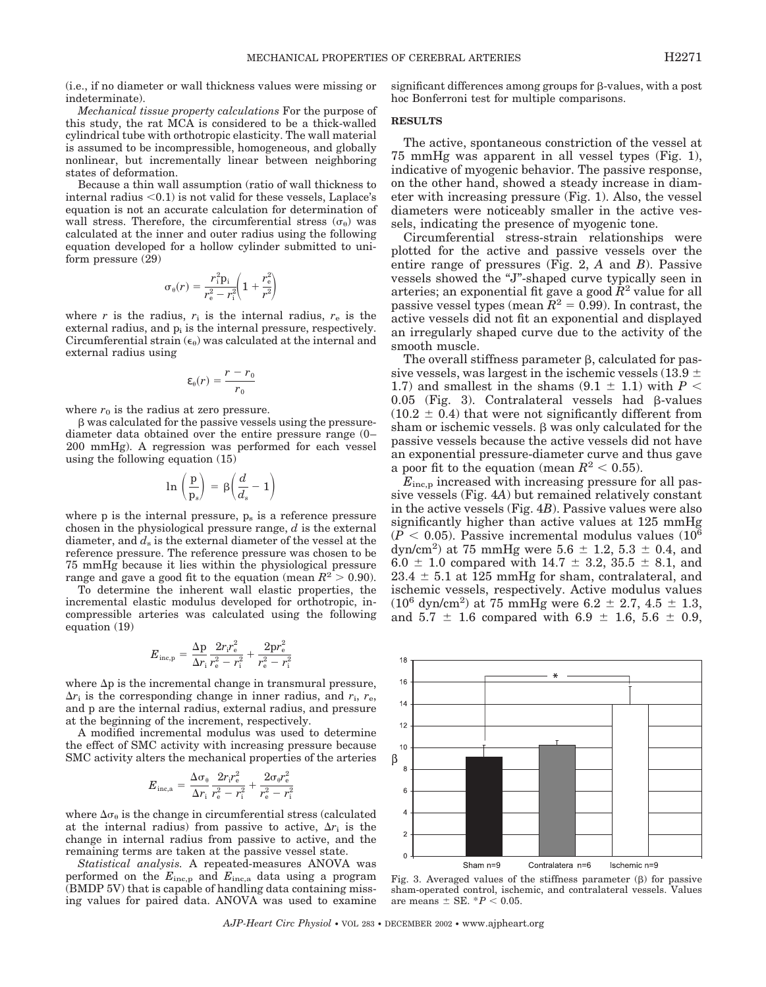(i.e., if no diameter or wall thickness values were missing or indeterminate).

*Mechanical tissue property calculations* For the purpose of this study, the rat MCA is considered to be a thick-walled cylindrical tube with orthotropic elasticity. The wall material is assumed to be incompressible, homogeneous, and globally nonlinear, but incrementally linear between neighboring states of deformation.

Because a thin wall assumption (ratio of wall thickness to internal radius  $< 0.1$ ) is not valid for these vessels, Laplace's equation is not an accurate calculation for determination of wall stress. Therefore, the circumferential stress  $(\sigma_{\theta})$  was calculated at the inner and outer radius using the following equation developed for a hollow cylinder submitted to uniform pressure (29)

$$
\sigma_{\theta}(r) = \frac{r_{\rm i}^2 p_{\rm i}}{r_{\rm e}^2 - r_{\rm i}^2} \left(1 + \frac{r_{\rm e}^2}{r^2}\right)
$$

where  $r$  is the radius,  $r_i$  is the internal radius,  $r_e$  is the external radius, and  $p_i$  is the internal pressure, respectively. Circumferential strain  $(\epsilon_0)$  was calculated at the internal and external radius using

$$
\varepsilon_{\theta}(r) = \frac{r - r_0}{r_0}
$$

where  $r_0$  is the radius at zero pressure.

- was calculated for the passive vessels using the pressurediameter data obtained over the entire pressure range (0– 200 mmHg). A regression was performed for each vessel using the following equation (15)

$$
\ln\,\left(\frac{\text{p}}{\text{p}_\text{s}}\right)\,=\,\beta\!\left(\frac{d}{d_\text{s}}-1\right)
$$

where  $p$  is the internal pressure,  $p_s$  is a reference pressure chosen in the physiological pressure range, *d* is the external diameter, and  $d_s$  is the external diameter of the vessel at the reference pressure. The reference pressure was chosen to be 75 mmHg because it lies within the physiological pressure range and gave a good fit to the equation (mean  $R^2 > 0.90$ ).

To determine the inherent wall elastic properties, the incremental elastic modulus developed for orthotropic, incompressible arteries was calculated using the following equation (19)

$$
E_{\text{inc,p}} = \frac{\Delta p}{\Delta r_{\text{i}}} \frac{2r_{\text{i}}r_{\text{e}}^2}{r_{\text{e}}^2 - r_{\text{i}}^2} + \frac{2\text{pr}_{\text{e}}^2}{r_{\text{e}}^2 - r_{\text{i}}^2}
$$

where  $\Delta p$  is the incremental change in transmural pressure,  $\Delta r_i$  is the corresponding change in inner radius, and  $r_i$ ,  $r_e$ , and p are the internal radius, external radius, and pressure at the beginning of the increment, respectively.

A modified incremental modulus was used to determine the effect of SMC activity with increasing pressure because SMC activity alters the mechanical properties of the arteries

$$
E_{\mathrm{inc,a}} = \frac{\Delta \sigma_{\theta}}{\Delta r_{\mathrm{i}}} \frac{2 r_{\mathrm{i}} r_{\mathrm{e}}^2}{r_{\mathrm{e}}^2 - r_{\mathrm{i}}^2} + \frac{2 \sigma_{\theta} r_{\mathrm{e}}^2}{r_{\mathrm{e}}^2 - r_{\mathrm{i}}^2}
$$

where  $\Delta\sigma_{\theta}$  is the change in circumferential stress (calculated at the internal radius) from passive to active,  $\Delta r_i$  is the change in internal radius from passive to active, and the remaining terms are taken at the passive vessel state.

*Statistical analysis.* A repeated-measures ANOVA was performed on the *E*inc,p and *E*inc,a data using a program (BMDP 5V) that is capable of handling data containing missing values for paired data. ANOVA was used to examine

 $significant$  differences among groups for  $\beta$ -values, with a post hoc Bonferroni test for multiple comparisons.

## **RESULTS**

The active, spontaneous constriction of the vessel at 75 mmHg was apparent in all vessel types (Fig. 1), indicative of myogenic behavior. The passive response, on the other hand, showed a steady increase in diameter with increasing pressure (Fig. 1). Also, the vessel diameters were noticeably smaller in the active vessels, indicating the presence of myogenic tone.

Circumferential stress-strain relationships were plotted for the active and passive vessels over the entire range of pressures (Fig. 2, *A* and *B*). Passive vessels showed the "J"-shaped curve typically seen in arteries; an exponential fit gave a good *R*<sup>2</sup> value for all passive vessel types (mean  $R^2 = 0.99$ ). In contrast, the active vessels did not fit an exponential and displayed an irregularly shaped curve due to the activity of the smooth muscle.

The overall stiffness parameter  $\beta$ , calculated for passive vessels, was largest in the ischemic vessels (13.9  $\pm$ 1.7) and smallest in the shams  $(9.1 \pm 1.1)$  with  $P \leq$  $0.05$  (Fig. 3). Contralateral vessels had  $\beta$ -values  $(10.2 \pm 0.4)$  that were not significantly different from sham or ischemic vessels.  $\beta$  was only calculated for the passive vessels because the active vessels did not have an exponential pressure-diameter curve and thus gave a poor fit to the equation (mean  $R^2 < 0.55$ ).

*E*inc,p increased with increasing pressure for all passive vessels (Fig. 4*A*) but remained relatively constant in the active vessels (Fig. 4*B*). Passive values were also significantly higher than active values at 125 mmHg  $(P < 0.05)$ . Passive incremental modulus values  $(10^6)$ dyn/cm<sup>2</sup>) at 75 mmHg were  $5.6 \pm 1.2, 5.3 \pm 0.4$ , and 6.0  $\pm$  1.0 compared with 14.7  $\pm$  3.2, 35.5  $\pm$  8.1, and  $23.4 \pm 5.1$  at 125 mmHg for sham, contralateral, and ischemic vessels, respectively. Active modulus values  $(10^6 \text{ dyn/cm}^2)$  at 75 mmHg were 6.2  $\pm$  2.7, 4.5  $\pm$  1.3, and  $5.7 \pm 1.6$  compared with  $6.9 \pm 1.6$ ,  $5.6 \pm 0.9$ ,



Fig. 3. Averaged values of the stiffness parameter  $(\beta)$  for passive sham-operated control, ischemic, and contralateral vessels. Values are means  $\pm$  SE.  $*P < 0.05$ .

*AJP-Heart Circ Physiol* • VOL 283 • DECEMBER 2002 • www.ajpheart.org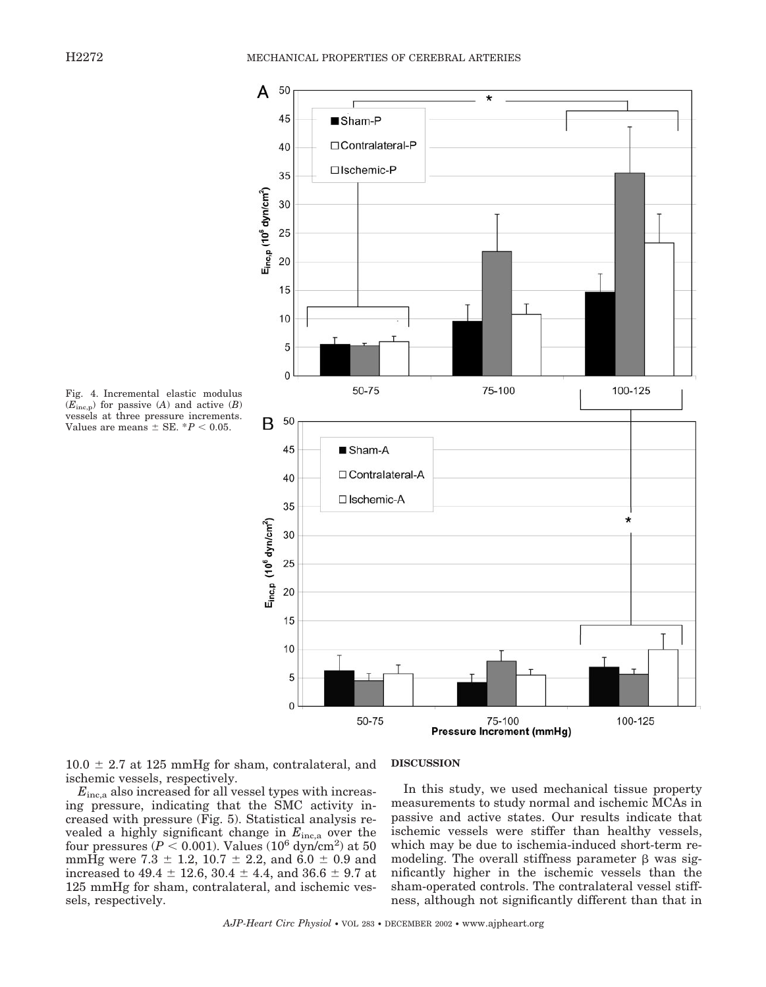

Fig. 4. Incremental elastic modulus (*E*inc,p) for passive (*A*) and active (*B*) vessels at three pressure increments. Values are means  $\pm$  SE.  $*P < 0.05$ .

 $10.0 \pm 2.7$  at 125 mmHg for sham, contralateral, and ischemic vessels, respectively.

# *E*inc,a also increased for all vessel types with increasing pressure, indicating that the SMC activity increased with pressure (Fig. 5). Statistical analysis revealed a highly significant change in *E*inc,a over the four pressures  $(P < 0.001)$ . Values  $(10^6 \text{ dyn/cm}^2)$  at 50 mmHg were  $7.3 \pm 1.2$ ,  $10.7 \pm 2.2$ , and  $6.0 \pm 0.9$  and increased to  $49.4 \pm 12.6$ ,  $30.4 \pm 4.4$ , and  $36.6 \pm 9.7$  at 125 mmHg for sham, contralateral, and ischemic vessels, respectively.

#### **DISCUSSION**

In this study, we used mechanical tissue property measurements to study normal and ischemic MCAs in passive and active states. Our results indicate that ischemic vessels were stiffer than healthy vessels, which may be due to ischemia-induced short-term remodeling. The overall stiffness parameter  $\beta$  was significantly higher in the ischemic vessels than the sham-operated controls. The contralateral vessel stiffness, although not significantly different than that in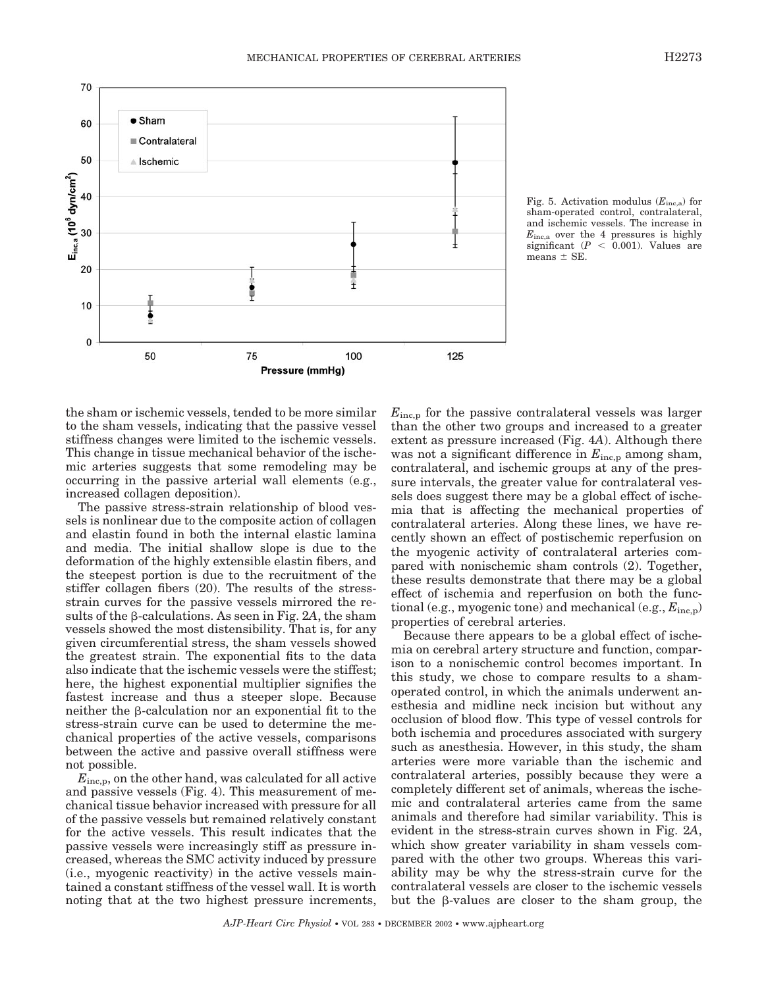

Fig. 5. Activation modulus (*E*inc,a) for sham-operated control, contralateral, and ischemic vessels. The increase in *E*inc,a over the 4 pressures is highly significant  $(P < 0.001)$ . Values are means  $\pm$  SE.

the sham or ischemic vessels, tended to be more similar to the sham vessels, indicating that the passive vessel stiffness changes were limited to the ischemic vessels. This change in tissue mechanical behavior of the ischemic arteries suggests that some remodeling may be occurring in the passive arterial wall elements (e.g., increased collagen deposition).

The passive stress-strain relationship of blood vessels is nonlinear due to the composite action of collagen and elastin found in both the internal elastic lamina and media. The initial shallow slope is due to the deformation of the highly extensible elastin fibers, and the steepest portion is due to the recruitment of the stiffer collagen fibers (20). The results of the stressstrain curves for the passive vessels mirrored the results of the  $\beta$ -calculations. As seen in Fig. 2A, the sham vessels showed the most distensibility. That is, for any given circumferential stress, the sham vessels showed the greatest strain. The exponential fits to the data also indicate that the ischemic vessels were the stiffest; here, the highest exponential multiplier signifies the fastest increase and thus a steeper slope. Because neither the  $\beta$ -calculation nor an exponential fit to the stress-strain curve can be used to determine the mechanical properties of the active vessels, comparisons between the active and passive overall stiffness were not possible.

 $E_{\text{inc},p}$ , on the other hand, was calculated for all active and passive vessels (Fig. 4). This measurement of mechanical tissue behavior increased with pressure for all of the passive vessels but remained relatively constant for the active vessels. This result indicates that the passive vessels were increasingly stiff as pressure increased, whereas the SMC activity induced by pressure (i.e., myogenic reactivity) in the active vessels maintained a constant stiffness of the vessel wall. It is worth noting that at the two highest pressure increments,

*E*inc,p for the passive contralateral vessels was larger than the other two groups and increased to a greater extent as pressure increased (Fig. 4*A*). Although there was not a significant difference in  $E_{\text{inc,p}}$  among sham, contralateral, and ischemic groups at any of the pressure intervals, the greater value for contralateral vessels does suggest there may be a global effect of ischemia that is affecting the mechanical properties of contralateral arteries. Along these lines, we have recently shown an effect of postischemic reperfusion on the myogenic activity of contralateral arteries compared with nonischemic sham controls (2). Together, these results demonstrate that there may be a global effect of ischemia and reperfusion on both the functional (e.g., myogenic tone) and mechanical (e.g.,  $E_{\text{inc,p}}$ ) properties of cerebral arteries.

Because there appears to be a global effect of ischemia on cerebral artery structure and function, comparison to a nonischemic control becomes important. In this study, we chose to compare results to a shamoperated control, in which the animals underwent anesthesia and midline neck incision but without any occlusion of blood flow. This type of vessel controls for both ischemia and procedures associated with surgery such as anesthesia. However, in this study, the sham arteries were more variable than the ischemic and contralateral arteries, possibly because they were a completely different set of animals, whereas the ischemic and contralateral arteries came from the same animals and therefore had similar variability. This is evident in the stress-strain curves shown in Fig. 2*A*, which show greater variability in sham vessels compared with the other two groups. Whereas this variability may be why the stress-strain curve for the contralateral vessels are closer to the ischemic vessels but the  $\beta$ -values are closer to the sham group, the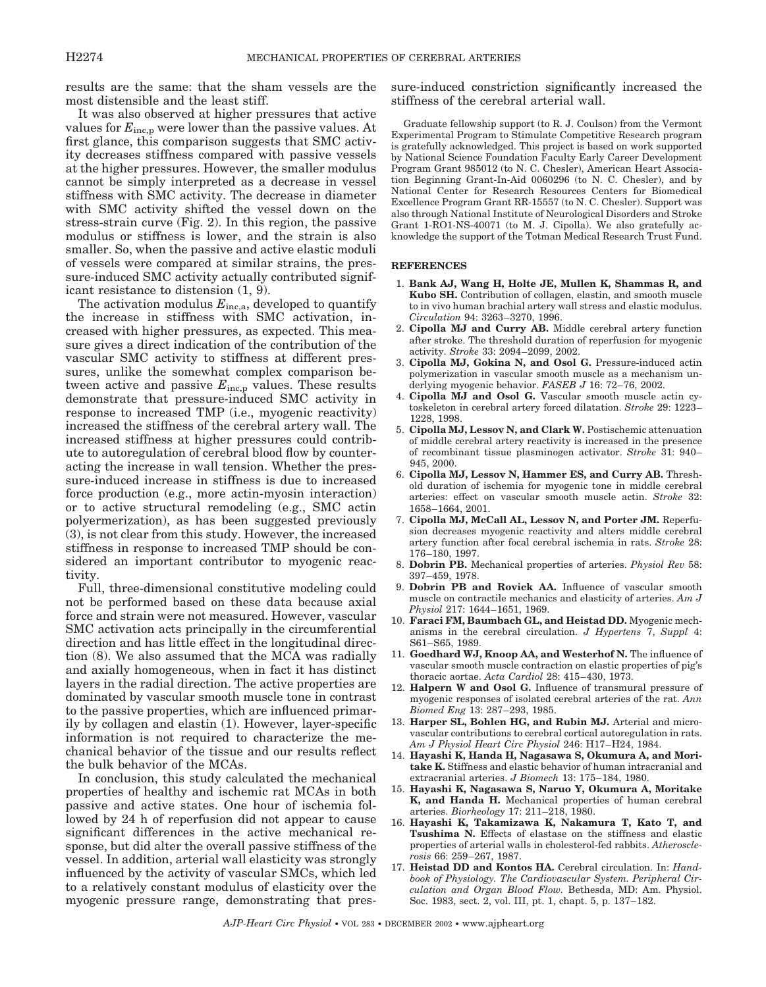results are the same: that the sham vessels are the most distensible and the least stiff.

It was also observed at higher pressures that active values for  $E_{\text{inc,p}}$  were lower than the passive values. At first glance, this comparison suggests that SMC activity decreases stiffness compared with passive vessels at the higher pressures. However, the smaller modulus cannot be simply interpreted as a decrease in vessel stiffness with SMC activity. The decrease in diameter with SMC activity shifted the vessel down on the stress-strain curve (Fig. 2). In this region, the passive modulus or stiffness is lower, and the strain is also smaller. So, when the passive and active elastic moduli of vessels were compared at similar strains, the pressure-induced SMC activity actually contributed significant resistance to distension (1, 9).

The activation modulus *E*inc,a, developed to quantify the increase in stiffness with SMC activation, increased with higher pressures, as expected. This measure gives a direct indication of the contribution of the vascular SMC activity to stiffness at different pressures, unlike the somewhat complex comparison between active and passive  $E_{\text{inc,p}}$  values. These results demonstrate that pressure-induced SMC activity in response to increased TMP (i.e., myogenic reactivity) increased the stiffness of the cerebral artery wall. The increased stiffness at higher pressures could contribute to autoregulation of cerebral blood flow by counteracting the increase in wall tension. Whether the pressure-induced increase in stiffness is due to increased force production (e.g., more actin-myosin interaction) or to active structural remodeling (e.g., SMC actin polyermerization), as has been suggested previously (3), is not clear from this study. However, the increased stiffness in response to increased TMP should be considered an important contributor to myogenic reactivity.

Full, three-dimensional constitutive modeling could not be performed based on these data because axial force and strain were not measured. However, vascular SMC activation acts principally in the circumferential direction and has little effect in the longitudinal direction (8). We also assumed that the MCA was radially and axially homogeneous, when in fact it has distinct layers in the radial direction. The active properties are dominated by vascular smooth muscle tone in contrast to the passive properties, which are influenced primarily by collagen and elastin (1). However, layer-specific information is not required to characterize the mechanical behavior of the tissue and our results reflect the bulk behavior of the MCAs.

In conclusion, this study calculated the mechanical properties of healthy and ischemic rat MCAs in both passive and active states. One hour of ischemia followed by 24 h of reperfusion did not appear to cause significant differences in the active mechanical response, but did alter the overall passive stiffness of the vessel. In addition, arterial wall elasticity was strongly influenced by the activity of vascular SMCs, which led to a relatively constant modulus of elasticity over the myogenic pressure range, demonstrating that pressure-induced constriction significantly increased the stiffness of the cerebral arterial wall.

Graduate fellowship support (to R. J. Coulson) from the Vermont Experimental Program to Stimulate Competitive Research program is gratefully acknowledged. This project is based on work supported by National Science Foundation Faculty Early Career Development Program Grant 985012 (to N. C. Chesler), American Heart Association Beginning Grant-In-Aid 0060296 (to N. C. Chesler), and by National Center for Research Resources Centers for Biomedical Excellence Program Grant RR-15557 (to N. C. Chesler). Support was also through National Institute of Neurological Disorders and Stroke Grant 1-RO1-NS-40071 (to M. J. Cipolla). We also gratefully acknowledge the support of the Totman Medical Research Trust Fund.

### **REFERENCES**

- 1. **Bank AJ, Wang H, Holte JE, Mullen K, Shammas R, and Kubo SH.** Contribution of collagen, elastin, and smooth muscle to in vivo human brachial artery wall stress and elastic modulus. *Circulation* 94: 3263–3270, 1996.
- 2. **Cipolla MJ and Curry AB.** Middle cerebral artery function after stroke. The threshold duration of reperfusion for myogenic activity. *Stroke* 33: 2094–2099, 2002.
- 3. **Cipolla MJ, Gokina N, and Osol G.** Pressure-induced actin polymerization in vascular smooth muscle as a mechanism underlying myogenic behavior. *FASEB J* 16: 72–76, 2002.
- 4. **Cipolla MJ and Osol G.** Vascular smooth muscle actin cytoskeleton in cerebral artery forced dilatation. *Stroke* 29: 1223– 1228, 1998.
- 5. **Cipolla MJ, Lessov N, and Clark W.** Postischemic attenuation of middle cerebral artery reactivity is increased in the presence of recombinant tissue plasminogen activator. *Stroke* 31: 940– 945, 2000.
- 6. **Cipolla MJ, Lessov N, Hammer ES, and Curry AB.** Threshold duration of ischemia for myogenic tone in middle cerebral arteries: effect on vascular smooth muscle actin. *Stroke* 32: 1658–1664, 2001.
- 7. **Cipolla MJ, McCall AL, Lessov N, and Porter JM.** Reperfusion decreases myogenic reactivity and alters middle cerebral artery function after focal cerebral ischemia in rats. *Stroke* 28: 176–180, 1997.
- 8. **Dobrin PB.** Mechanical properties of arteries. *Physiol Rev* 58: 397–459, 1978.
- 9. **Dobrin PB and Rovick AA.** Influence of vascular smooth muscle on contractile mechanics and elasticity of arteries. *Am J Physiol* 217: 1644–1651, 1969.
- 10. **Faraci FM, Baumbach GL, and Heistad DD.** Myogenic mechanisms in the cerebral circulation. *J Hypertens* 7, *Suppl* 4: S61–S65, 1989.
- 11. **Goedhard WJ, Knoop AA, and Westerhof N.** The influence of vascular smooth muscle contraction on elastic properties of pig's thoracic aortae. *Acta Cardiol* 28: 415–430, 1973.
- 12. **Halpern W and Osol G.** Influence of transmural pressure of myogenic responses of isolated cerebral arteries of the rat. *Ann Biomed Eng* 13: 287–293, 1985.
- 13. **Harper SL, Bohlen HG, and Rubin MJ.** Arterial and microvascular contributions to cerebral cortical autoregulation in rats. *Am J Physiol Heart Circ Physiol* 246: H17–H24, 1984.
- 14. **Hayashi K, Handa H, Nagasawa S, Okumura A, and Moritake K.** Stiffness and elastic behavior of human intracranial and extracranial arteries. *J Biomech* 13: 175–184, 1980.
- 15. **Hayashi K, Nagasawa S, Naruo Y, Okumura A, Moritake K, and Handa H.** Mechanical properties of human cerebral arteries. *Biorheology* 17: 211–218, 1980.
- 16. **Hayashi K, Takamizawa K, Nakamura T, Kato T, and Tsushima N.** Effects of elastase on the stiffness and elastic properties of arterial walls in cholesterol-fed rabbits. *Atherosclerosis* 66: 259–267, 1987.
- 17. **Heistad DD and Kontos HA.** Cerebral circulation. In: *Handbook of Physiology. The Cardiovascular System. Peripheral Circulation and Organ Blood Flow.* Bethesda, MD: Am. Physiol. Soc. 1983, sect. 2, vol. III, pt. 1, chapt. 5, p. 137–182.